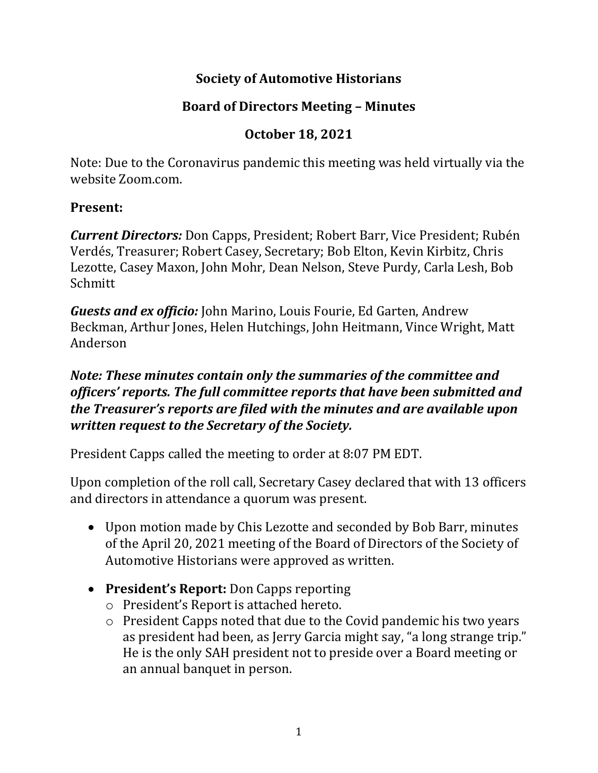# **Society of Automotive Historians**

# **Board of Directors Meeting – Minutes**

# **October 18, 2021**

Note: Due to the Coronavirus pandemic this meeting was held virtually via the website Zoom.com.

### **Present:**

*Current Directors:* Don Capps, President; Robert Barr, Vice President; Rubén Verdés, Treasurer; Robert Casey, Secretary; Bob Elton, Kevin Kirbitz, Chris Lezotte, Casey Maxon, John Mohr, Dean Nelson, Steve Purdy, Carla Lesh, Bob Schmitt

*Guests and ex officio:* John Marino, Louis Fourie, Ed Garten, Andrew Beckman, Arthur Jones, Helen Hutchings, John Heitmann, Vince Wright, Matt Anderson

### *Note: These minutes contain only the summaries of the committee and officers' reports. The full committee reports that have been submitted and the Treasurer's reports are filed with the minutes and are available upon written request to the Secretary of the Society.*

President Capps called the meeting to order at 8:07 PM EDT.

Upon completion of the roll call, Secretary Casey declared that with 13 officers and directors in attendance a quorum was present.

- Upon motion made by Chis Lezotte and seconded by Bob Barr, minutes of the April 20, 2021 meeting of the Board of Directors of the Society of Automotive Historians were approved as written.
- **President's Report:** Don Capps reporting
	- o President's Report is attached hereto.
	- o President Capps noted that due to the Covid pandemic his two years as president had been, as Jerry Garcia might say, "a long strange trip." He is the only SAH president not to preside over a Board meeting or an annual banquet in person.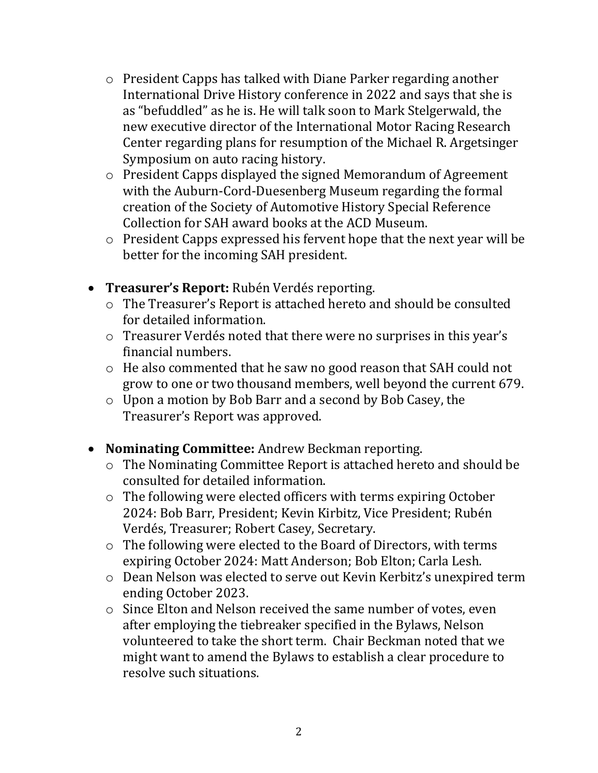- o President Capps has talked with Diane Parker regarding another International Drive History conference in 2022 and says that she is as "befuddled" as he is. He will talk soon to Mark Stelgerwald, the new executive director of the International Motor Racing Research Center regarding plans for resumption of the Michael R. Argetsinger Symposium on auto racing history.
- o President Capps displayed the signed Memorandum of Agreement with the Auburn-Cord-Duesenberg Museum regarding the formal creation of the Society of Automotive History Special Reference Collection for SAH award books at the ACD Museum.
- o President Capps expressed his fervent hope that the next year will be better for the incoming SAH president.
- **Treasurer's Report:** Rubén Verdés reporting.
	- o The Treasurer's Report is attached hereto and should be consulted for detailed information.
	- o Treasurer Verdés noted that there were no surprises in this year's financial numbers.
	- o He also commented that he saw no good reason that SAH could not grow to one or two thousand members, well beyond the current 679.
	- o Upon a motion by Bob Barr and a second by Bob Casey, the Treasurer's Report was approved.
- **Nominating Committee:** Andrew Beckman reporting.
	- o The Nominating Committee Report is attached hereto and should be consulted for detailed information.
	- o The following were elected officers with terms expiring October 2024: Bob Barr, President; Kevin Kirbitz, Vice President; Rubén Verdés, Treasurer; Robert Casey, Secretary.
	- o The following were elected to the Board of Directors, with terms expiring October 2024: Matt Anderson; Bob Elton; Carla Lesh.
	- o Dean Nelson was elected to serve out Kevin Kerbitz's unexpired term ending October 2023.
	- o Since Elton and Nelson received the same number of votes, even after employing the tiebreaker specified in the Bylaws, Nelson volunteered to take the short term. Chair Beckman noted that we might want to amend the Bylaws to establish a clear procedure to resolve such situations.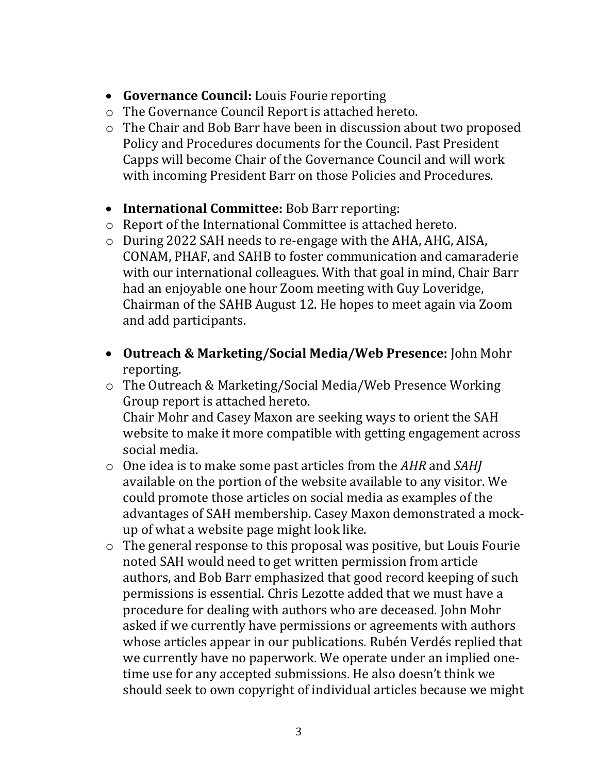- **Governance Council:** Louis Fourie reporting
- o The Governance Council Report is attached hereto.
- o The Chair and Bob Barr have been in discussion about two proposed Policy and Procedures documents for the Council. Past President Capps will become Chair of the Governance Council and will work with incoming President Barr on those Policies and Procedures.
- **International Committee:** Bob Barr reporting:
- o Report of the International Committee is attached hereto.
- o During 2022 SAH needs to re-engage with the AHA, AHG, AISA, CONAM, PHAF, and SAHB to foster communication and camaraderie with our international colleagues. With that goal in mind, Chair Barr had an enjoyable one hour Zoom meeting with Guy Loveridge, Chairman of the SAHB August 12. He hopes to meet again via Zoom and add participants.
- **Outreach & Marketing/Social Media/Web Presence:** John Mohr reporting.
- o The Outreach & Marketing/Social Media/Web Presence Working Group report is attached hereto. Chair Mohr and Casey Maxon are seeking ways to orient the SAH website to make it more compatible with getting engagement across social media.
- o One idea is to make some past articles from the *AHR* and *SAHJ*  available on the portion of the website available to any visitor. We could promote those articles on social media as examples of the advantages of SAH membership. Casey Maxon demonstrated a mockup of what a website page might look like.
- o The general response to this proposal was positive, but Louis Fourie noted SAH would need to get written permission from article authors, and Bob Barr emphasized that good record keeping of such permissions is essential. Chris Lezotte added that we must have a procedure for dealing with authors who are deceased. John Mohr asked if we currently have permissions or agreements with authors whose articles appear in our publications. Rubén Verdés replied that we currently have no paperwork. We operate under an implied onetime use for any accepted submissions. He also doesn't think we should seek to own copyright of individual articles because we might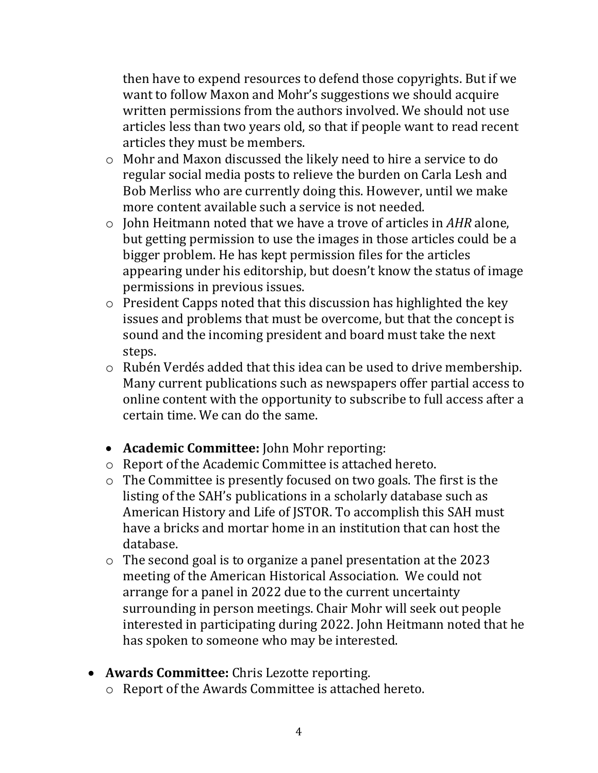then have to expend resources to defend those copyrights. But if we want to follow Maxon and Mohr's suggestions we should acquire written permissions from the authors involved. We should not use articles less than two years old, so that if people want to read recent articles they must be members.

- o Mohr and Maxon discussed the likely need to hire a service to do regular social media posts to relieve the burden on Carla Lesh and Bob Merliss who are currently doing this. However, until we make more content available such a service is not needed.
- o John Heitmann noted that we have a trove of articles in *AHR* alone, but getting permission to use the images in those articles could be a bigger problem. He has kept permission files for the articles appearing under his editorship, but doesn't know the status of image permissions in previous issues.
- o President Capps noted that this discussion has highlighted the key issues and problems that must be overcome, but that the concept is sound and the incoming president and board must take the next steps.
- o Rubén Verdés added that this idea can be used to drive membership. Many current publications such as newspapers offer partial access to online content with the opportunity to subscribe to full access after a certain time. We can do the same.
- **Academic Committee:** John Mohr reporting:
- o Report of the Academic Committee is attached hereto.
- o The Committee is presently focused on two goals. The first is the listing of the SAH's publications in a scholarly database such as American History and Life of JSTOR. To accomplish this SAH must have a bricks and mortar home in an institution that can host the database.
- o The second goal is to organize a panel presentation at the 2023 meeting of the American Historical Association. We could not arrange for a panel in 2022 due to the current uncertainty surrounding in person meetings. Chair Mohr will seek out people interested in participating during 2022. John Heitmann noted that he has spoken to someone who may be interested.
- **Awards Committee:** Chris Lezotte reporting.
	- o Report of the Awards Committee is attached hereto.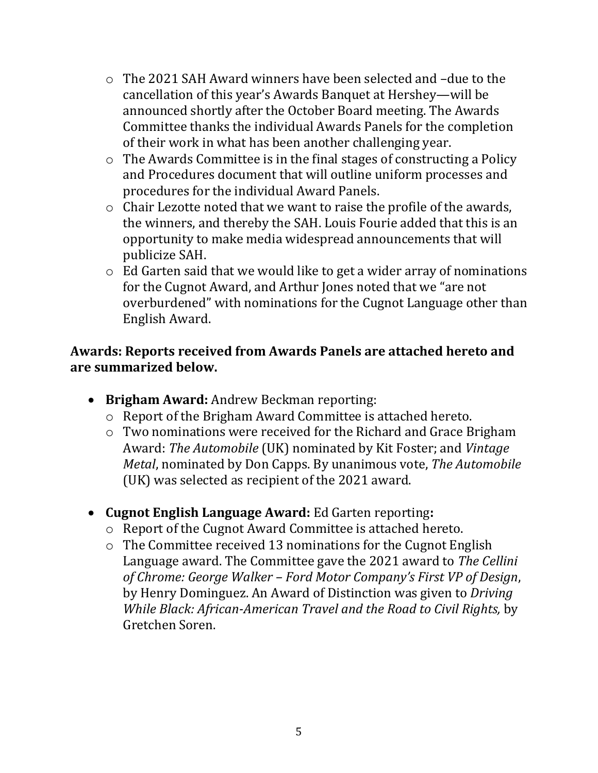- o The 2021 SAH Award winners have been selected and –due to the cancellation of this year's Awards Banquet at Hershey—will be announced shortly after the October Board meeting. The Awards Committee thanks the individual Awards Panels for the completion of their work in what has been another challenging year.
- o The Awards Committee is in the final stages of constructing a Policy and Procedures document that will outline uniform processes and procedures for the individual Award Panels.
- o Chair Lezotte noted that we want to raise the profile of the awards, the winners, and thereby the SAH. Louis Fourie added that this is an opportunity to make media widespread announcements that will publicize SAH.
- o Ed Garten said that we would like to get a wider array of nominations for the Cugnot Award, and Arthur Jones noted that we "are not overburdened" with nominations for the Cugnot Language other than English Award.

#### **Awards: Reports received from Awards Panels are attached hereto and are summarized below.**

- **Brigham Award:** Andrew Beckman reporting:
	- o Report of the Brigham Award Committee is attached hereto.
	- o Two nominations were received for the Richard and Grace Brigham Award: *The Automobile* (UK) nominated by Kit Foster; and *Vintage Metal*, nominated by Don Capps. By unanimous vote, *The Automobile*  (UK) was selected as recipient of the 2021 award.
- **Cugnot English Language Award:** Ed Garten reporting**:**
	- o Report of the Cugnot Award Committee is attached hereto.
	- o The Committee received 13 nominations for the Cugnot English Language award. The Committee gave the 2021 award to *The Cellini of Chrome: George Walker – Ford Motor Company's First VP of Design*, by Henry Dominguez. An Award of Distinction was given to *Driving While Black: African-American Travel and the Road to Civil Rights,* by Gretchen Soren.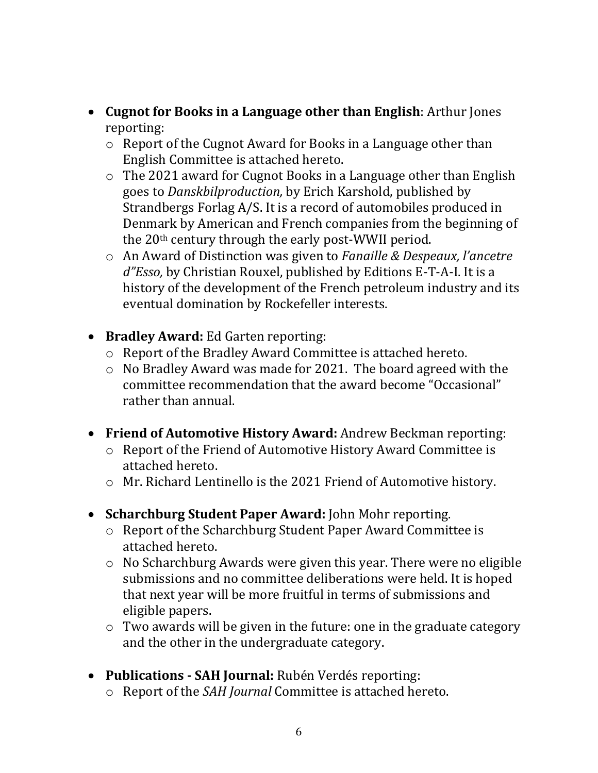- **Cugnot for Books in a Language other than English**: Arthur Jones reporting:
	- o Report of the Cugnot Award for Books in a Language other than English Committee is attached hereto.
	- o The 2021 award for Cugnot Books in a Language other than English goes to *Danskbilproduction,* by Erich Karshold, published by Strandbergs Forlag A/S. It is a record of automobiles produced in Denmark by American and French companies from the beginning of the 20<sup>th</sup> century through the early post-WWII period.
	- o An Award of Distinction was given to *Fanaille & Despeaux, l'ancetre d"Esso,* by Christian Rouxel, published by Editions E-T-A-I. It is a history of the development of the French petroleum industry and its eventual domination by Rockefeller interests.
- **Bradley Award:** Ed Garten reporting:
	- o Report of the Bradley Award Committee is attached hereto.
	- o No Bradley Award was made for 2021. The board agreed with the committee recommendation that the award become "Occasional" rather than annual.
- **Friend of Automotive History Award:** Andrew Beckman reporting:
	- o Report of the Friend of Automotive History Award Committee is attached hereto.
	- o Mr. Richard Lentinello is the 2021 Friend of Automotive history.
- **Scharchburg Student Paper Award:** John Mohr reporting.
	- o Report of the Scharchburg Student Paper Award Committee is attached hereto.
	- o No Scharchburg Awards were given this year. There were no eligible submissions and no committee deliberations were held. It is hoped that next year will be more fruitful in terms of submissions and eligible papers.
	- o Two awards will be given in the future: one in the graduate category and the other in the undergraduate category.
- **Publications - SAH Journal:** Rubén Verdés reporting:
	- o Report of the *SAH Journal* Committee is attached hereto.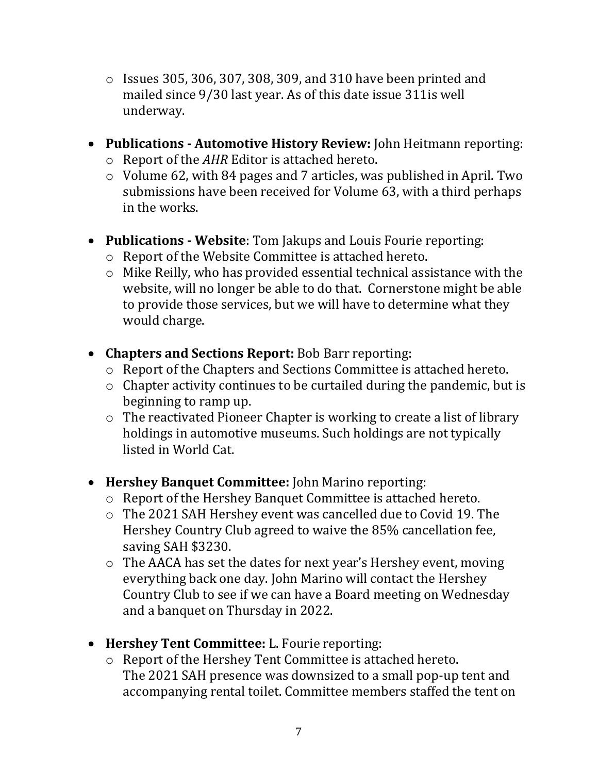- $\circ$  Issues 305, 306, 307, 308, 309, and 310 have been printed and mailed since 9/30 last year. As of this date issue 311is well underway.
- **Publications - Automotive History Review:** John Heitmann reporting: o Report of the *AHR* Editor is attached hereto.
	- o Volume 62, with 84 pages and 7 articles, was published in April. Two submissions have been received for Volume 63, with a third perhaps in the works.
- **Publications - Website**: Tom Jakups and Louis Fourie reporting:
	- o Report of the Website Committee is attached hereto.
	- o Mike Reilly, who has provided essential technical assistance with the website, will no longer be able to do that. Cornerstone might be able to provide those services, but we will have to determine what they would charge.
- **Chapters and Sections Report:** Bob Barr reporting:
	- o Report of the Chapters and Sections Committee is attached hereto.
	- o Chapter activity continues to be curtailed during the pandemic, but is beginning to ramp up.
	- o The reactivated Pioneer Chapter is working to create a list of library holdings in automotive museums. Such holdings are not typically listed in World Cat.
- **Hershey Banquet Committee:** John Marino reporting:
	- o Report of the Hershey Banquet Committee is attached hereto.
	- o The 2021 SAH Hershey event was cancelled due to Covid 19. The Hershey Country Club agreed to waive the 85% cancellation fee, saving SAH \$3230.
	- o The AACA has set the dates for next year's Hershey event, moving everything back one day. John Marino will contact the Hershey Country Club to see if we can have a Board meeting on Wednesday and a banquet on Thursday in 2022.
- **Hershey Tent Committee:** L. Fourie reporting:
	- o Report of the Hershey Tent Committee is attached hereto. The 2021 SAH presence was downsized to a small pop-up tent and accompanying rental toilet. Committee members staffed the tent on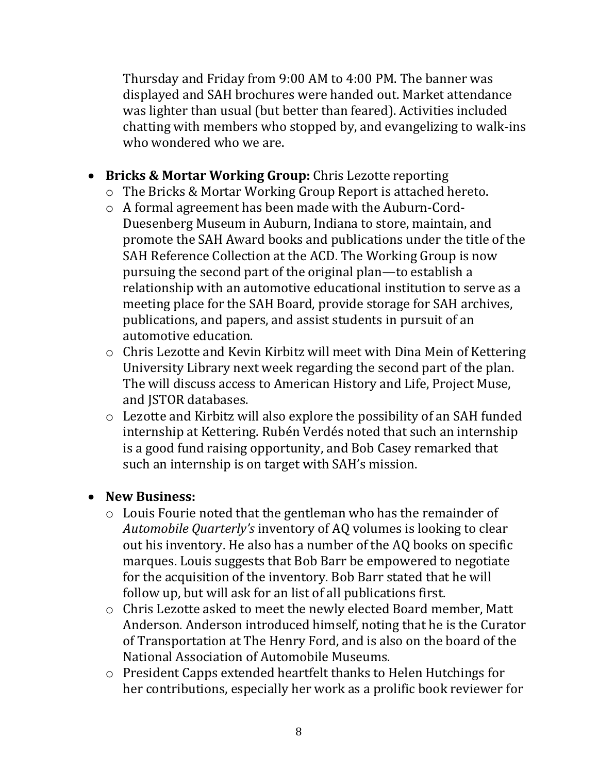Thursday and Friday from 9:00 AM to 4:00 PM. The banner was displayed and SAH brochures were handed out. Market attendance was lighter than usual (but better than feared). Activities included chatting with members who stopped by, and evangelizing to walk-ins who wondered who we are.

- **Bricks & Mortar Working Group:** Chris Lezotte reporting
	- o The Bricks & Mortar Working Group Report is attached hereto.
	- o A formal agreement has been made with the Auburn-Cord-Duesenberg Museum in Auburn, Indiana to store, maintain, and promote the SAH Award books and publications under the title of the SAH Reference Collection at the ACD. The Working Group is now pursuing the second part of the original plan—to establish a relationship with an automotive educational institution to serve as a meeting place for the SAH Board, provide storage for SAH archives, publications, and papers, and assist students in pursuit of an automotive education.
	- o Chris Lezotte and Kevin Kirbitz will meet with Dina Mein of Kettering University Library next week regarding the second part of the plan. The will discuss access to American History and Life, Project Muse, and JSTOR databases.
	- o Lezotte and Kirbitz will also explore the possibility of an SAH funded internship at Kettering. Rubén Verdés noted that such an internship is a good fund raising opportunity, and Bob Casey remarked that such an internship is on target with SAH's mission.

#### • **New Business:**

- o Louis Fourie noted that the gentleman who has the remainder of *Automobile Quarterly's* inventory of AQ volumes is looking to clear out his inventory. He also has a number of the AQ books on specific marques. Louis suggests that Bob Barr be empowered to negotiate for the acquisition of the inventory. Bob Barr stated that he will follow up, but will ask for an list of all publications first.
- o Chris Lezotte asked to meet the newly elected Board member, Matt Anderson. Anderson introduced himself, noting that he is the Curator of Transportation at The Henry Ford, and is also on the board of the National Association of Automobile Museums.
- o President Capps extended heartfelt thanks to Helen Hutchings for her contributions, especially her work as a prolific book reviewer for